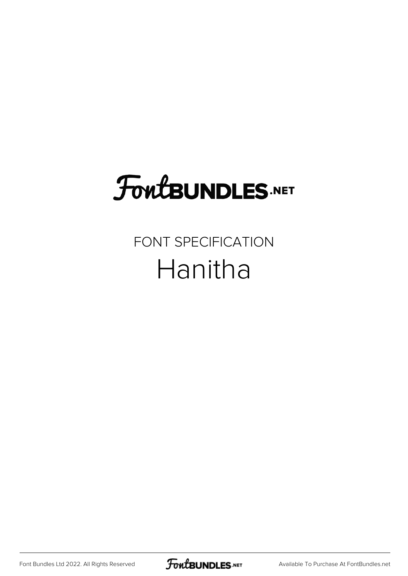# **FoutBUNDLES.NET**

## FONT SPECIFICATION Hanitha

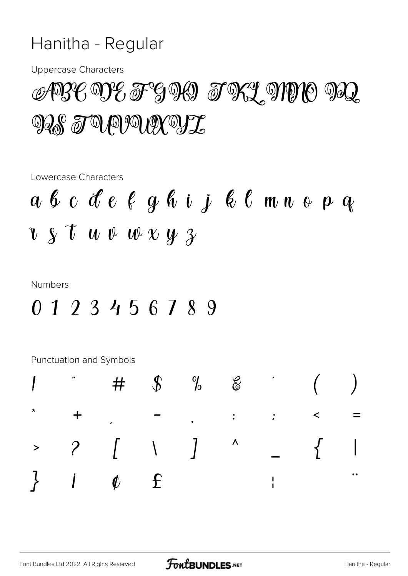### Hanitha - Regular

**Uppercase Characters** 

## ABC DE F G M TRL MNO MQ **MAS TO PUOUR YL**

Lowercase Characters

$$
a \ b \ c \ d \ e \ e \ g \ b \ i \ j \ e \ c \ m \ n \ e \ p \ q
$$
  
 $v \ s \ t \ u \ v \ w \ x \ y \ s$ 

#### **Numbers**

### 0123456789

Punctuation and Symbols

| $\begin{array}{cccccccccccccc} > & & ? & & [ & & \backslash & & ] & & ^{\wedge} & & & \\ & & & & \multicolumn{2}{c} & & & \multicolumn{2}{c} & & \multicolumn{2}{c} & & \multicolumn{2}{c} & & \multicolumn{2}{c} & & \multicolumn{2}{c} & & \multicolumn{2}{c} & & \multicolumn{2}{c} & & \multicolumn{2}{c} & & \multicolumn{2}{c} & & \multicolumn{2}{c} & & \multicolumn{2}{c} & & \multicolumn{2}{c} & & \multicolumn{2}{c} & & \multicolumn{2}{c} & & \multicolumn{2}{c} & & \multic$ |  |  |  |                                               |
|---------------------------------------------------------------------------------------------------------------------------------------------------------------------------------------------------------------------------------------------------------------------------------------------------------------------------------------------------------------------------------------------------------------------------------------------------------------------------------------------|--|--|--|-----------------------------------------------|
| $\}$ $i$ $\phi$ $\epsilon$ $\qquad$                                                                                                                                                                                                                                                                                                                                                                                                                                                         |  |  |  | $\begin{array}{c} \bullet\bullet \end{array}$ |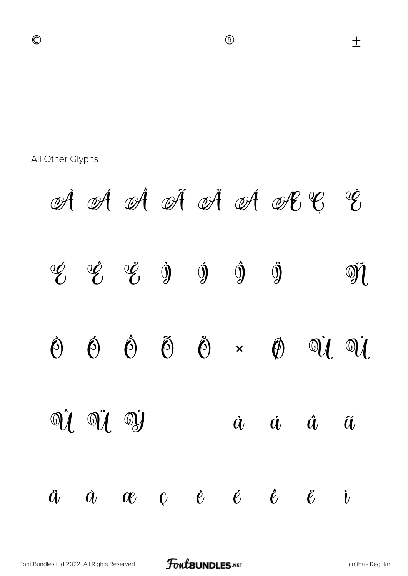土

All Other Glyphs

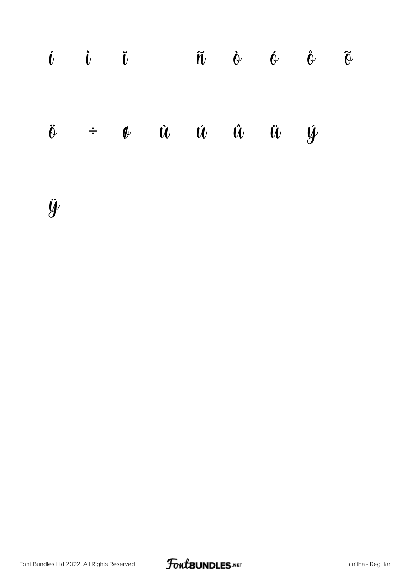| $\begin{array}{ccc} \hat{\mathbf{U}} & \hat{\mathbf{U}} & \hat{\mathbf{U}} \end{array}$ |  |                                                                                  | $\tilde{\mathbf{n}}$ $\phi$ $\phi$ $\tilde{\phi}$ $\tilde{\phi}$ |  |
|-----------------------------------------------------------------------------------------|--|----------------------------------------------------------------------------------|------------------------------------------------------------------|--|
|                                                                                         |  | $\ddot{\theta}$ $\div$ $\phi$ $\dot{u}$ $\dot{u}$ $\dot{u}$ $\ddot{u}$ $\dot{y}$ |                                                                  |  |

ÿ

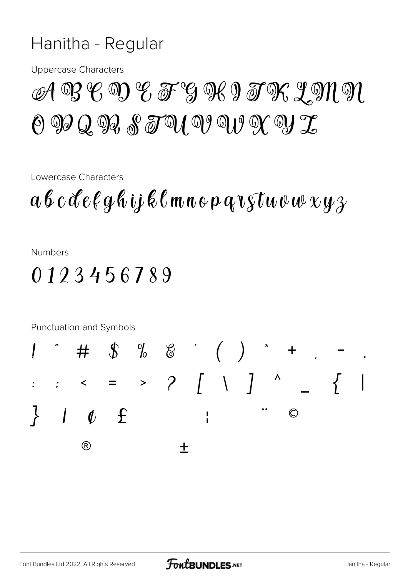#### Hanitha - Regular

**Uppercase Characters** 

## $\mathscr{A} \mathscr{B} \mathscr{C} \mathscr{D} \mathscr{C} \mathscr{F} \mathscr{G} \mathscr{B} \mathscr{C} \mathscr{G} \mathscr{B} \mathscr{C} \mathscr{D} \mathscr{C} \mathscr{D} \mathscr{C}$  $\Theta$   $\mathfrak{D}$   $Q$   $\mathfrak{D}$  $Q$   $\mathfrak{F}$   $\mathfrak{D}$   $\mathfrak{D}$   $\mathfrak{D}$   $\mathfrak{D}$   $\mathfrak{D}$   $\mathfrak{D}$   $\mathfrak{D}$   $\mathfrak{D}$   $\mathfrak{D}$   $\mathfrak{D}$

Lowercase Characters

 $a\,b\,c\,d\,e\,\ell\,g\,\ell\,ij\,\ell\,\ell\,m\,n\,o\,p\,q\,v\,s\,\tau\,w\,\nu\,\psi\,\chi\,y\,\gamma$ 

**Numbers** 

0123456789

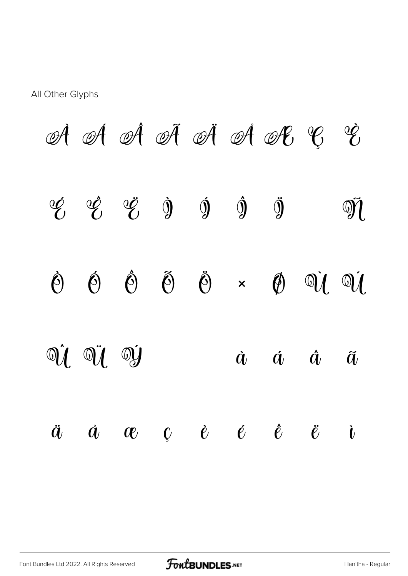#### All Other Glyphs

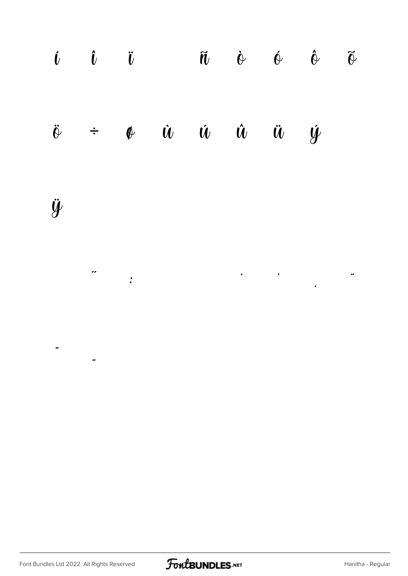

 $\mathbf{r}$ 

 $\overline{u}$ 

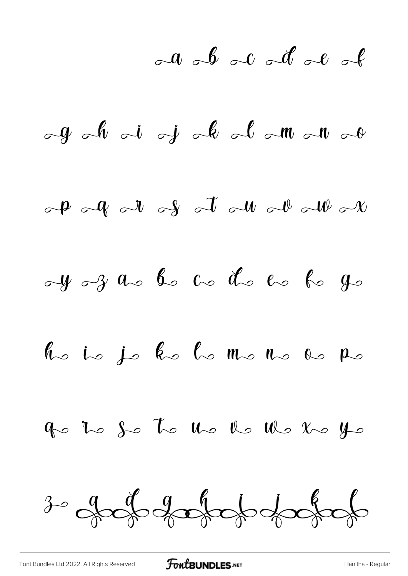$\sim a$   $\sim b$   $\sim c$   $\sim d$   $\sim e$   $\sim$ 

 $\partial_t \mathcal{L} = \int_0^t \partial_t \mathcal{L} \cdot \mathcal{L} = \int_0^t \partial_t \mathcal{L} \cdot \mathcal{L} \cdot \mathcal{L} \cdot \mathcal{L} \cdot \mathcal{L} \cdot \mathcal{L} \cdot \mathcal{L} \cdot \mathcal{L} \cdot \mathcal{L} \cdot \mathcal{L} \cdot \mathcal{L} \cdot \mathcal{L} \cdot \mathcal{L} \cdot \mathcal{L} \cdot \mathcal{L} \cdot \mathcal{L} \cdot \mathcal{L} \cdot \mathcal{L} \cdot \mathcal{L} \cdot \mathcal{L} \cdot \mathcal{L} \cdot \mathcal{L} \cdot \$  $\partial_t P$   $\partial_t P$   $\partial_t P$   $\partial_t P$   $\partial_t P$   $\partial_t P$   $\partial_t P$  $dy - 3$  as be as de to be go he is je ke lo mo no do po

go to so to us to us to so yo